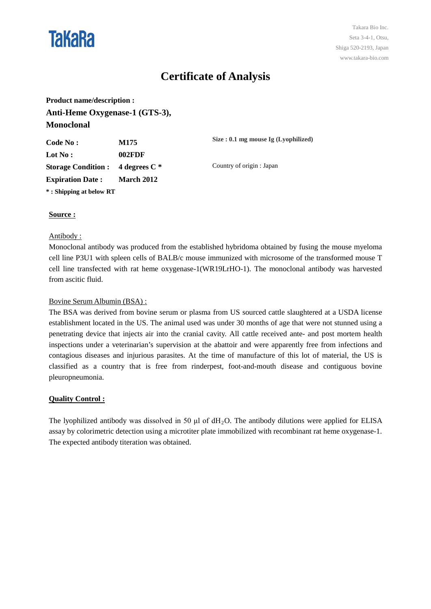

# **Certificate of Analysis**

**Product name/description : Anti-Heme Oxygenase-1 (GTS-3), Monoclonal**

| Code No :                                 | M175              | Size : $0.1$ mg mouse Ig (Lyophilized) |
|-------------------------------------------|-------------------|----------------------------------------|
| $\mathbf{Lot} \, \mathbf{No:}$            | 002FDF            |                                        |
| Storage Condition : $\,$ 4 degrees C $^*$ |                   | Country of origin : Japan              |
| <b>Expiration Date :</b>                  | <b>March 2012</b> |                                        |
| * : Shipping at below RT                  |                   |                                        |

# **Source :**

### Antibody :

Monoclonal antibody was produced from the established hybridoma obtained by fusing the mouse myeloma cell line P3U1 with spleen cells of BALB/c mouse immunized with microsome of the transformed mouse T cell line transfected with rat heme oxygenase-1(WR19LrHO-1). The monoclonal antibody was harvested from ascitic fluid.

# Bovine Serum Albumin (BSA) :

The BSA was derived from bovine serum or plasma from US sourced cattle slaughtered at a USDA license establishment located in the US. The animal used was under 30 months of age that were not stunned using a penetrating device that injects air into the cranial cavity. All cattle received ante- and post mortem health inspections under a veterinarian's supervision at the abattoir and were apparently free from infections and contagious diseases and injurious parasites. At the time of manufacture of this lot of material, the US is classified as a country that is free from rinderpest, foot-and-mouth disease and contiguous bovine pleuropneumonia.

# **Quality Control :**

The lyophilized antibody was dissolved in 50  $\mu$ l of dH<sub>2</sub>O. The antibody dilutions were applied for ELISA assay by colorimetric detection using a microtiter plate immobilized with recombinant rat heme oxygenase-1. The expected antibody titeration was obtained.